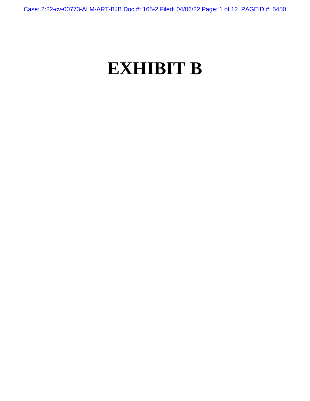Case: 2:22-cv-00773-ALM-ART-BJB Doc #: 165-2 Filed: 04/06/22 Page: 1 of 12 PAGEID #: 5450

# **EXHIBIT B**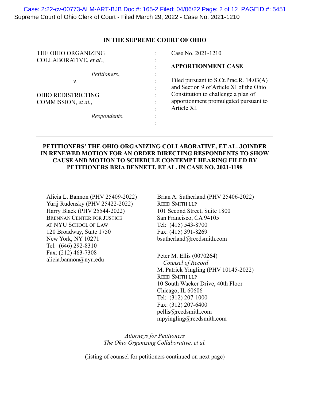Supreme Court of Ohio Clerk of Court - Filed March 29, 2022 - Case No. 2021-1210 Case: 2:22-cv-00773-ALM-ART-BJB Doc #: 165-2 Filed: 04/06/22 Page: 2 of 12 PAGEID #: 5451

## **IN THE SUPREME COURT OF OHIO**

| THE OHIO ORGANIZING       |                                   | Case No. 2021-1210                      |
|---------------------------|-----------------------------------|-----------------------------------------|
| COLLABORATIVE, et al.,    | $\bullet$                         |                                         |
|                           |                                   | <b>APPORTIONMENT CASE</b>               |
| Petitioners,              |                                   |                                         |
| v.                        | $\bullet$                         | Filed pursuant to S.Ct.Prac.R. 14.03(A) |
|                           | $\bullet$                         | and Section 9 of Article XI of the Ohio |
| <b>OHIO REDISTRICTING</b> | $\bullet$                         | Constitution to challenge a plan of     |
| COMMISSION, et al.,       |                                   | apportionment promulgated pursuant to   |
|                           |                                   | Article XI.                             |
| Respondents.              | $\bullet$<br>$\ddot{\phantom{0}}$ |                                         |
|                           |                                   |                                         |

# **PETITIONERS' THE OHIO ORGANIZING COLLABORATIVE, ET AL. JOINDER IN RENEWED MOTION FOR AN ORDER DIRECTING RESPONDENTS TO SHOW CAUSE AND MOTION TO SCHEDULE CONTEMPT HEARING FILED BY PETITIONERS BRIA BENNETT, ET AL. IN CASE NO. 2021-1198**

Alicia L. Bannon (PHV 25409-2022) Yurij Rudensky (PHV 25422-2022) Harry Black (PHV 25544-2022) BRENNAN CENTER FOR JUSTICE AT NYU SCHOOL OF LAW 120 Broadway, Suite 1750 New York, NY 10271 Tel: (646) 292-8310 Fax: (212) 463-7308 alicia.bannon@nyu.edu

Brian A. Sutherland (PHV 25406-2022) REED SMITH LLP 101 Second Street, Suite 1800 San Francisco, CA 94105 Tel: (415) 543-8700 Fax: (415) 391-8269 bsutherland@reedsmith.com

Peter M. Ellis (0070264)  *Counsel of Record*  M. Patrick Yingling (PHV 10145-2022) REED SMITH LLP 10 South Wacker Drive, 40th Floor Chicago, IL 60606 Tel: (312) 207-1000 Fax: (312) 207-6400 pellis@reedsmith.com mpyingling@reedsmith.com

*Attorneys for Petitioners The Ohio Organizing Collaborative, et al.* 

(listing of counsel for petitioners continued on next page)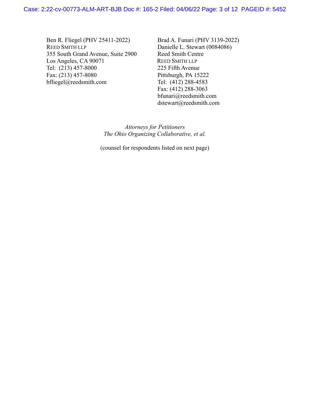Ben R. Fliegel (PHV 25411-2022) REED SMITH LLP 355 South Grand Avenue, Suite 2900 Los Angeles, CA 90071 Tel: (213) 457-8000 Fax: (213) 457-8080 bfliegel@reedsmith.com

Brad A. Funari (PHV 3139-2022) Danielle L. Stewart (0084086) Reed Smith Centre REED SMITH LLP 225 Fifth Avenue Pittsburgh, PA 15222 Tel: (412) 288-4583 Fax: (412) 288-3063 bfunari@reedsmith.com dstewart@reedsmith.com

*Attorneys for Petitioners The Ohio Organizing Collaborative, et al.* 

(counsel for respondents listed on next page)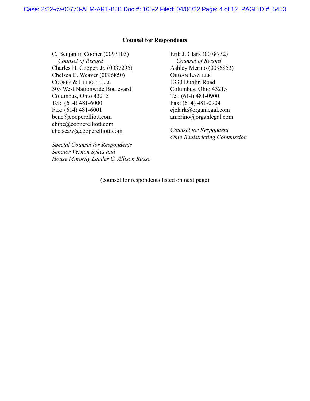#### **Counsel for Respondents**

C. Benjamin Cooper (0093103) *Counsel of Record*  Charles H. Cooper, Jr. (0037295) Chelsea C. Weaver (0096850) COOPER & ELLIOTT, LLC 305 West Nationwide Boulevard Columbus, Ohio 43215 Tel: (614) 481-6000 Fax: (614) 481-6001 benc@cooperelliott.com chipc@cooperelliott.com chelseaw@cooperelliott.com

*Special Counsel for Respondents Senator Vernon Sykes and House Minority Leader C. Allison Russo* Erik J. Clark (0078732)  *Counsel of Record*  Ashley Merino (0096853) ORGAN LAW LLP 1330 Dublin Road Columbus, Ohio 43215 Tel: (614) 481-0900 Fax: (614) 481-0904 ejclark@organlegal.com amerino@organlegal.com

*Counsel for Respondent Ohio Redistricting Commission*

(counsel for respondents listed on next page)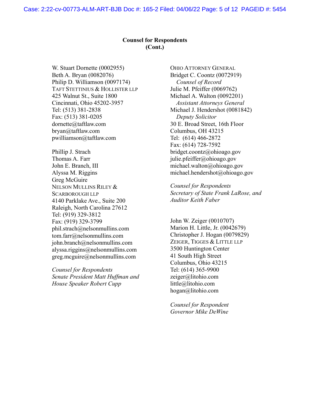# **Counsel for Respondents (Cont.)**

W. Stuart Dornette (0002955) Beth A. Bryan (0082076) Philip D. Williamson (0097174) TAFT STETTINIUS & HOLLISTER LLP 425 Walnut St., Suite 1800 Cincinnati, Ohio 45202-3957 Tel: (513) 381-2838 Fax: (513) 381-0205 dornette@taftlaw.com bryan@taftlaw.com pwilliamson@taftlaw.com

Phillip J. Strach Thomas A. Farr John E. Branch, III Alyssa M. Riggins Greg McGuire NELSON MULLINS RILEY & SCARBOROUGH LLP 4140 Parklake Ave., Suite 200 Raleigh, North Carolina 27612 Tel: (919) 329-3812 Fax: (919) 329-3799 phil.strach@nelsonmullins.com tom.farr@nelsonmullins.com john.branch@nelsonmullins.com alyssa.riggins@nelsonmullins.com greg.mcguire@nelsonmullins.com

*Counsel for Respondents Senate President Matt Huffman and House Speaker Robert Cupp* 

OHIO ATTORNEY GENERAL Bridget C. Coontz (0072919)  *Counsel of Record*  Julie M. Pfeiffer (0069762) Michael A. Walton (0092201)  *Assistant Attorneys General*  Michael J. Hendershot (0081842) *Deputy Solicitor*  30 E. Broad Street, 16th Floor Columbus, OH 43215 Tel: (614) 466-2872 Fax: (614) 728-7592 bridget.coontz@ohioago.gov julie.pfeiffer@ohioago.gov michael.walton@ohioago.gov michael.hendershot@ohioago.gov

*Counsel for Respondents Secretary of State Frank LaRose, and Auditor Keith Faber* 

John W. Zeiger (0010707) Marion H. Little, Jr. (0042679) Christopher J. Hogan (0079829) ZEIGER, TIGGES & LITTLE LLP 3500 Huntington Center 41 South High Street Columbus, Ohio 43215 Tel: (614) 365-9900 zeiger@litohio.com little@litohio.com hogan@litohio.com

*Counsel for Respondent Governor Mike DeWine*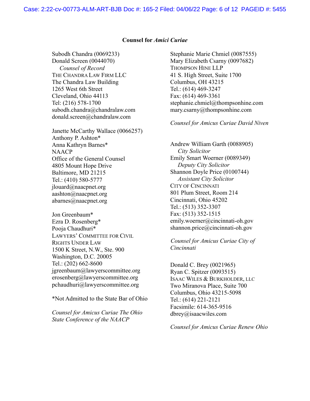#### **Counsel for** *Amici Curiae*

Subodh Chandra (0069233) Donald Screen (0044070)  *Counsel of Record*  THE CHANDRA LAW FIRM LLC The Chandra Law Building 1265 West 6th Street Cleveland, Ohio 44113 Tel: (216) 578-1700 subodh.chandra@chandralaw.com donald.screen@chandralaw.com

Janette McCarthy Wallace (0066257) Anthony P. Ashton\* Anna Kathryn Barnes\* **NAACP** Office of the General Counsel 4805 Mount Hope Drive Baltimore, MD 21215 Tel.: (410) 580-5777 jlouard@naacpnet.org aashton@naacpnet.org abarnes@naacpnet.org

Jon Greenbaum\* Ezra D. Rosenberg\* Pooja Chaudhuri\* LAWYERS' COMMITTEE FOR CIVIL RIGHTS UNDER LAW 1500 K Street, N.W., Ste. 900 Washington, D.C. 20005 Tel.: (202) 662-8600 jgreenbaum@lawyerscommittee.org erosenberg@lawyerscommittee.org pchaudhuri@lawyerscommittee.org

\*Not Admitted to the State Bar of Ohio

*Counsel for Amicus Curiae The Ohio State Conference of the NAACP* 

Stephanie Marie Chmiel (0087555) Mary Elizabeth Csarny (0097682) THOMPSON HINE LLP 41 S. High Street, Suite 1700 Columbus, OH 43215 Tel.: (614) 469-3247 Fax: (614) 469-3361 stephanie.chmiel@thompsonhine.com mary.csarny@thompsonhine.com

*Counsel for Amicus Curiae David Niven* 

Andrew William Garth (0088905)  *City Solicitor*  Emily Smart Woerner (0089349) *Deputy City Solicitor*  Shannon Doyle Price (0100744) *Assistant City Solicitor*  CITY OF CINCINNATI 801 Plum Street, Room 214 Cincinnati, Ohio 45202 Tel.: (513) 352-3307 Fax: (513) 352-1515 emily.woerner@cincinnati-oh.gov shannon.price@cincinnati-oh.gov

*Counsel for Amicus Curiae City of Cincinnati* 

Donald C. Brey (0021965) Ryan C. Spitzer (0093515) ISAAC WILES & BURKHOLDER, LLC Two Miranova Place, Suite 700 Columbus, Ohio 43215-5098 Tel.: (614) 221-2121 Facsimile: 614-365-9516 dbrey@isaacwiles.com

*Counsel for Amicus Curiae Renew Ohio*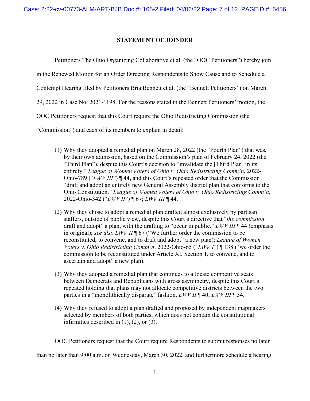## **STATEMENT OF JOINDER**

Petitioners The Ohio Organizing Collaborative et al. (the "OOC Petitioners") hereby join in the Renewed Motion for an Order Directing Respondents to Show Cause and to Schedule a Contempt Hearing filed by Petitioners Bria Bennett et al. (the "Bennett Petitioners") on March 29, 2022 in Case No. 2021-1198. For the reasons stated in the Bennett Petitioners' motion, the OOC Petitioners request that this Court require the Ohio Redistricting Commission (the "Commission") and each of its members to explain in detail:

- (1) Why they adopted a remedial plan on March 28, 2022 (the "Fourth Plan") that was, by their own admission, based on the Commission's plan of February 24, 2022 (the "Third Plan"), despite this Court's decision to "invalidate the [Third Plan] in its entirety," *League of Women Voters of Ohio v. Ohio Redistricting Comm'n*, 2022- Ohio-789 ("*LWV III*") ¶ 44, and this Court's repeated order that the Commission "draft and adopt an entirely new General Assembly district plan that conforms to the Ohio Constitution." *League of Women Voters of Ohio v. Ohio Redistricting Comm'n*, 2022-Ohio-342 ("*LWV II*") ¶ 67; *LWV III* ¶ 44.
- (2) Why they chose to adopt a remedial plan drafted almost exclusively by partisan staffers, outside of public view, despite this Court's directive that "*the commission* draft and adopt" a plan, with the drafting to "occur in public." *LWV III* ¶ 44 (emphasis in original); *see also LWV II* ¶ 67 ("We further order the commission to be reconstituted, to convene, and to draft and adopt" a new plan); *League of Women Voters v. Ohio Redistricting Comm'n*, 2022-Ohio-65 ("*LWV I*") ¶ 138 ("we order the commission to be reconstituted under Article XI, Section 1, to convene, and to ascertain and adopt" a new plan).
- (3) Why they adopted a remedial plan that continues to allocate competitive seats between Democrats and Republicans with gross asymmetry, despite this Court's repeated holding that plans may not allocate competitive districts between the two parties in a "monolithically disparate" fashion. *LWV II* ¶ 40; *LWV III* ¶ 34.
- (4) Why they refused to adopt a plan drafted and proposed by independent mapmakers selected by members of both parties, which does not contain the constitutional infirmities described in (1), (2), or (3).

OOC Petitioners request that the Court require Respondents to submit responses no later

than no later than 9:00 a.m. on Wednesday, March 30, 2022, and furthermore schedule a hearing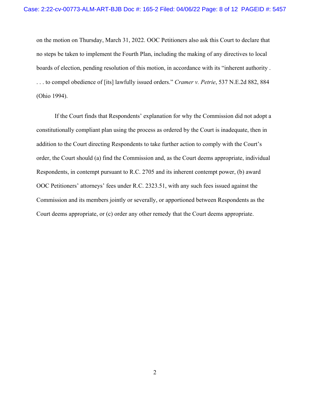on the motion on Thursday, March 31, 2022. OOC Petitioners also ask this Court to declare that no steps be taken to implement the Fourth Plan, including the making of any directives to local boards of election, pending resolution of this motion, in accordance with its "inherent authority . . . . to compel obedience of [its] lawfully issued orders." *Cramer v. Petrie*, 537 N.E.2d 882, 884 (Ohio 1994).

If the Court finds that Respondents' explanation for why the Commission did not adopt a constitutionally compliant plan using the process as ordered by the Court is inadequate, then in addition to the Court directing Respondents to take further action to comply with the Court's order, the Court should (a) find the Commission and, as the Court deems appropriate, individual Respondents, in contempt pursuant to R.C. 2705 and its inherent contempt power, (b) award OOC Petitioners' attorneys' fees under R.C. 2323.51, with any such fees issued against the Commission and its members jointly or severally, or apportioned between Respondents as the Court deems appropriate, or (c) order any other remedy that the Court deems appropriate.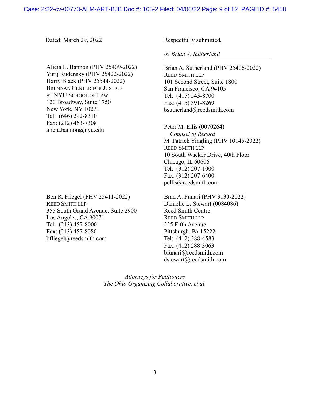Alicia L. Bannon (PHV 25409-2022) Yurij Rudensky (PHV 25422-2022) Harry Black (PHV 25544-2022) BRENNAN CENTER FOR JUSTICE AT NYU SCHOOL OF LAW 120 Broadway, Suite 1750 New York, NY 10271 Tel: (646) 292-8310 Fax: (212) 463-7308 alicia.bannon@nyu.edu

Ben R. Fliegel (PHV 25411-2022) REED SMITH LLP 355 South Grand Avenue, Suite 2900 Los Angeles, CA 90071 Tel: (213) 457-8000 Fax: (213) 457-8080 bfliegel@reedsmith.com

Dated: March 29, 2022 Respectfully submitted,

/*s*/ *Brian A. Sutherland* 

Brian A. Sutherland (PHV 25406-2022) REED SMITH LLP 101 Second Street, Suite 1800 San Francisco, CA 94105 Tel: (415) 543-8700 Fax: (415) 391-8269 bsutherland@reedsmith.com

Peter M. Ellis (0070264)  *Counsel of Record*  M. Patrick Yingling (PHV 10145-2022) REED SMITH LLP 10 South Wacker Drive, 40th Floor Chicago, IL 60606 Tel: (312) 207-1000 Fax: (312) 207-6400 pellis@reedsmith.com

Brad A. Funari (PHV 3139-2022) Danielle L. Stewart (0084086) Reed Smith Centre REED SMITH LLP 225 Fifth Avenue Pittsburgh, PA 15222 Tel: (412) 288-4583 Fax: (412) 288-3063 bfunari@reedsmith.com dstewart@reedsmith.com

*Attorneys for Petitioners The Ohio Organizing Collaborative, et al.*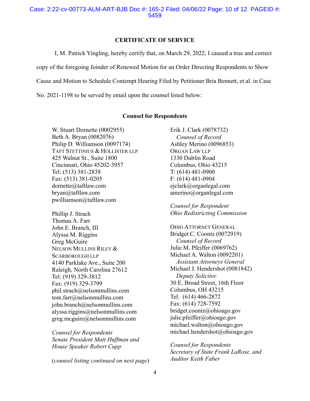# **CERTIFICATE OF SERVICE**

I, M. Patrick Yingling, hereby certify that, on March 29, 2022, I caused a true and correct

copy of the foregoing Joinder of Renewed Motion for an Order Directing Respondents to Show

Cause and Motion to Schedule Contempt Hearing Filed by Petitioner Bria Bennett, et al. in Case

No. 2021-1198 to be served by email upon the counsel listed below:

## **Counsel for Respondents**

W. Stuart Dornette (0002955) Beth A. Bryan (0082076) Philip D. Williamson (0097174) TAFT STETTINIUS & HOLLISTER LLP 425 Walnut St., Suite 1800 Cincinnati, Ohio 45202-3957 Tel: (513) 381-2838 Fax: (513) 381-0205 dornette@taftlaw.com bryan@taftlaw.com pwilliamson@taftlaw.com

Phillip J. Strach Thomas A. Farr John E. Branch, III Alyssa M. Riggins Greg McGuire NELSON MULLINS RILEY & SCARBOROUGH LLP 4140 Parklake Ave., Suite 200 Raleigh, North Carolina 27612 Tel: (919) 329-3812 Fax: (919) 329-3799 phil.strach@nelsonmullins.com tom.farr@nelsonmullins.com john.branch@nelsonmullins.com alyssa.riggins@nelsonmullins.com greg.mcguire@nelsonmullins.com

*Counsel for Respondents Senate President Matt Huffman and House Speaker Robert Cupp* 

(*counsel listing continued on next page*)

Erik J. Clark (0078732)  *Counsel of Record*  Ashley Merino (0096853) ORGAN LAW LLP 1330 Dublin Road Columbus, Ohio 43215 T: (614) 481-0900 F: (614) 481-0904 ejclark@organlegal.com amerino@organlegal.com

*Counsel for Respondent Ohio Redistricting Commission*

OHIO ATTORNEY GENERAL Bridget C. Coontz (0072919)  *Counsel of Record*  Julie M. Pfeiffer (0069762) Michael A. Walton (0092201)  *Assistant Attorneys General*  Michael J. Hendershot (0081842) *Deputy Solicitor*  30 E. Broad Street, 16th Floor Columbus, OH 43215 Tel: (614) 466-2872 Fax: (614) 728-7592 bridget.coontz@ohioago.gov julie.pfeiffer@ohioago.gov michael.walton@ohioago.gov michael.hendershot@ohioago.gov

*Counsel for Respondents Secretary of State Frank LaRose, and Auditor Keith Faber*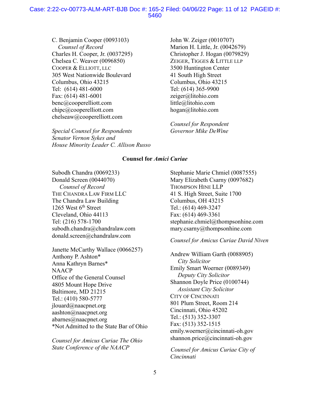## Case: 2:22-cv-00773-ALM-ART-BJB Doc #: 165-2 Filed: 04/06/22 Page: 11 of 12 PAGEID #: 5460

C. Benjamin Cooper (0093103) *Counsel of Record*  Charles H. Cooper, Jr. (0037295) Chelsea C. Weaver (0096850) COOPER & ELLIOTT, LLC 305 West Nationwide Boulevard Columbus, Ohio 43215 Tel: (614) 481-6000 Fax: (614) 481-6001 benc@cooperelliott.com chipc@cooperelliott.com chelseaw@cooperelliott.com

*Special Counsel for Respondents Senator Vernon Sykes and House Minority Leader C. Allison Russo*  John W. Zeiger (0010707) Marion H. Little, Jr. (0042679) Christopher J. Hogan (0079829) ZEIGER, TIGGES & LITTLE LLP 3500 Huntington Center 41 South High Street Columbus, Ohio 43215 Tel: (614) 365-9900 zeiger@litohio.com little@litohio.com hogan@litohio.com

*Counsel for Respondent Governor Mike DeWine*

#### **Counsel for** *Amici Curiae*

Subodh Chandra (0069233) Donald Screen (0044070)  *Counsel of Record*  THE CHANDRA LAW FIRM LLC The Chandra Law Building 1265 West  $6<sup>th</sup>$  Street Cleveland, Ohio 44113 Tel: (216) 578-1700 subodh.chandra@chandralaw.com donald.screen@chandralaw.com

Janette McCarthy Wallace (0066257) Anthony P. Ashton\* Anna Kathryn Barnes\* **NAACP** Office of the General Counsel 4805 Mount Hope Drive Baltimore, MD 21215 Tel.: (410) 580-5777 jlouard@naacpnet.org aashton@naacpnet.org abarnes@naacpnet.org \*Not Admitted to the State Bar of Ohio

*Counsel for Amicus Curiae The Ohio State Conference of the NAACP* 

Stephanie Marie Chmiel (0087555) Mary Elizabeth Csarny (0097682) THOMPSON HINE LLP 41 S. High Street, Suite 1700 Columbus, OH 43215 Tel.: (614) 469-3247 Fax: (614) 469-3361 stephanie.chmiel@thompsonhine.com mary.csarny@thompsonhine.com

#### *Counsel for Amicus Curiae David Niven*

Andrew William Garth (0088905)  *City Solicitor*  Emily Smart Woerner (0089349) *Deputy City Solicitor*  Shannon Doyle Price (0100744) *Assistant City Solicitor*  CITY OF CINCINNATI 801 Plum Street, Room 214 Cincinnati, Ohio 45202 Tel.: (513) 352-3307 Fax: (513) 352-1515 emily.woerner@cincinnati-oh.gov shannon.price@cincinnati-oh.gov

*Counsel for Amicus Curiae City of Cincinnati*